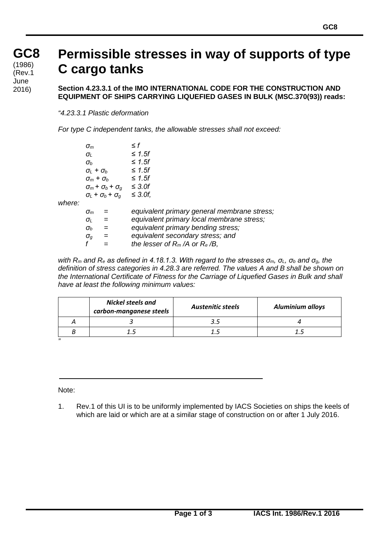## **GC8 GC8** (1986)<br>′Dav.4 (Rev.1 June 2016)

# **Permissible stresses in way of supports of type C cargo tanks**

**Section 4.23.3.1 of the IMO INTERNATIONAL CODE FOR THE CONSTRUCTION AND EQUIPMENT OF SHIPS CARRYING LIQUEFIED GASES IN BULK (MSC.370(93)) reads:**

*"4.23.3.1 Plastic deformation*

*For type C independent tanks, the allowable stresses shall not exceed:*

|        | $\sigma_{m}$                         |     | ≤ f                                         |
|--------|--------------------------------------|-----|---------------------------------------------|
|        | $\sigma_{\scriptscriptstyle\! L}$    |     | $\leq 1.5f$                                 |
|        | $\sigma_b$                           |     | $\leq$ 1.5f                                 |
|        | $\sigma_i$ + $\sigma_b$              |     | $\leq$ 1.5f                                 |
|        | $\sigma_m + \sigma_b$                |     | $\leq$ 1.5f                                 |
|        | $\sigma_m$ + $\sigma_b$ + $\sigma_q$ |     | $\leq$ 3.0f                                 |
|        | $\sigma_L$ + $\sigma_b$ + $\sigma_q$ |     | $\leq$ 3.0f,                                |
| where: |                                      |     |                                             |
|        | $\sigma_{m}$                         |     | equivalent primary general membrane stress; |
|        | $\sigma_{I}$                         | $=$ | equivalent primary local membrane stress;   |
|        | $\sigma_b$                           | $=$ | equivalent primary bending stress;          |
|        | $\sigma_{\scriptscriptstyle\! G}$    | $=$ | equivalent secondary stress; and            |
|        |                                      |     | the lesser of $R_m/A$ or $R_e/B$ ,          |

*with Rm and Re as defined in 4.18.1.3. With regard to the stresses σm, σL, σ<sup>b</sup> and σg, the definition of stress categories in 4.28.3 are referred. The values A and B shall be shown on the International Certificate of Fitness for the Carriage of Liquefied Gases in Bulk and shall have at least the following minimum values:*

|   | <b>Nickel steels and</b><br>carbon-manganese steels | <b>Austenitic steels</b> | <b>Aluminium alloys</b> |
|---|-----------------------------------------------------|--------------------------|-------------------------|
|   |                                                     |                          |                         |
|   |                                                     |                          |                         |
| " |                                                     |                          |                         |

Note:

1. Rev.1 of this UI is to be uniformly implemented by IACS Societies on ships the keels of which are laid or which are at a similar stage of construction on or after 1 July 2016.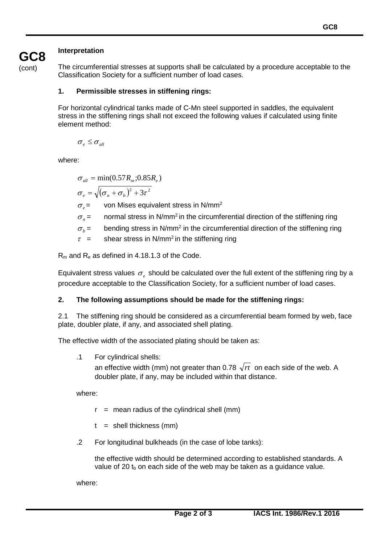## **Interpretation**

(cont)

**GC8**

The circumferential stresses at supports shall be calculated by a procedure acceptable to the Classification Society for a sufficient number of load cases.

#### **1. Permissible stresses in stiffening rings:**

For horizontal cylindrical tanks made of C-Mn steel supported in saddles, the equivalent stress in the stiffening rings shall not exceed the following values if calculated using finite element method:

 $\sigma_{e} \leq \sigma_{all}$ 

where:

 $\sigma_{all} = \min(0.57 R_m; 0.85 R_e)$ 

$$
\sigma_e = \sqrt{(\sigma_n + \sigma_b)^2 + 3\tau^2}
$$

 $\sigma_{e}$  = von Mises equivalent stress in N/mm<sup>2</sup>

 $\sigma_{\rm n}$  = normal stress in N/mm<sup>2</sup> in the circumferential direction of the stiffening ring

 $\sigma_{h}$  = bending stress in N/mm<sup>2</sup> in the circumferential direction of the stiffening ring

 $\tau$  = shear stress in N/mm<sup>2</sup> in the stiffening ring

 $R_m$  and  $R_e$  as defined in 4.18.1.3 of the Code.

Equivalent stress values  $\sigma_{\rho}$  should be calculated over the full extent of the stiffening ring by a procedure acceptable to the Classification Society, for a sufficient number of load cases.

#### **2. The following assumptions should be made for the stiffening rings:**

2.1 The stiffening ring should be considered as a circumferential beam formed by web, face plate, doubler plate, if any, and associated shell plating.

The effective width of the associated plating should be taken as:

.1 For cylindrical shells:

an effective width (mm) not greater than 0.78  $\sqrt{rt}$  on each side of the web. A doubler plate, if any, may be included within that distance.

where:

- $r =$  mean radius of the cylindrical shell (mm)
- $t =$  shell thickness (mm)
- .2 For longitudinal bulkheads (in the case of lobe tanks):

the effective width should be determined according to established standards. A value of 20  $t<sub>b</sub>$  on each side of the web may be taken as a guidance value.

where: